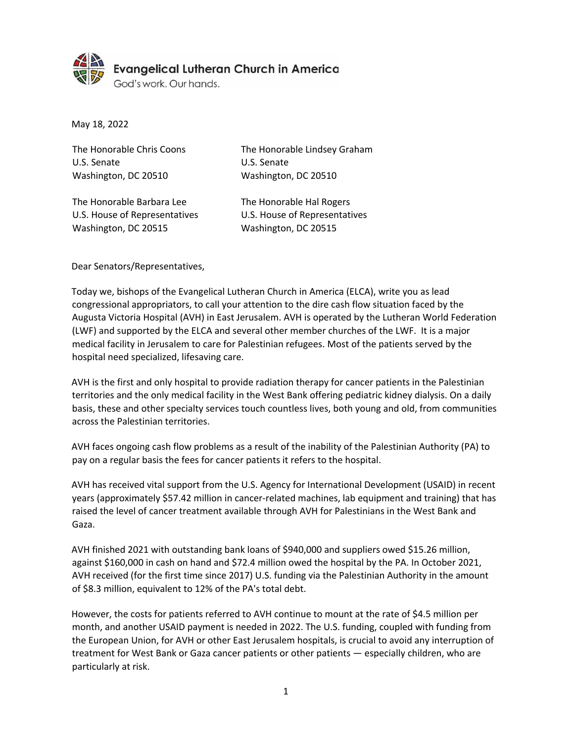

May 18, 2022

| The Honorable Chris Coons     | The Honorable Lindsey Graham  |
|-------------------------------|-------------------------------|
| U.S. Senate                   | U.S. Senate                   |
| Washington, DC 20510          | Washington, DC 20510          |
|                               |                               |
| The Honorable Barbara Lee     | The Honorable Hal Rogers      |
| U.S. House of Representatives | U.S. House of Representatives |
| Washington, DC 20515          | Washington, DC 20515          |

Dear Senators/Representatives,

Today we, bishops of the Evangelical Lutheran Church in America (ELCA), write you as lead congressional appropriators, to call your attention to the dire cash flow situation faced by the Augusta Victoria Hospital (AVH) in East Jerusalem. AVH is operated by the Lutheran World Federation (LWF) and supported by the ELCA and several other member churches of the LWF. It is a major medical facility in Jerusalem to care for Palestinian refugees. Most of the patients served by the hospital need specialized, lifesaving care.

AVH is the first and only hospital to provide radiation therapy for cancer patients in the Palestinian territories and the only medical facility in the West Bank offering pediatric kidney dialysis. On a daily basis, these and other specialty services touch countless lives, both young and old, from communities across the Palestinian territories.

AVH faces ongoing cash flow problems as a result of the inability of the Palestinian Authority (PA) to pay on a regular basis the fees for cancer patients it refers to the hospital.

AVH has received vital support from the U.S. Agency for International Development (USAID) in recent years (approximately \$57.42 million in cancer-related machines, lab equipment and training) that has raised the level of cancer treatment available through AVH for Palestinians in the West Bank and Gaza.

AVH finished 2021 with outstanding bank loans of \$940,000 and suppliers owed \$15.26 million, against \$160,000 in cash on hand and \$72.4 million owed the hospital by the PA. In October 2021, AVH received (for the first time since 2017) U.S. funding via the Palestinian Authority in the amount of \$8.3 million, equivalent to 12% of the PA's total debt.

However, the costs for patients referred to AVH continue to mount at the rate of \$4.5 million per month, and another USAID payment is needed in 2022. The U.S. funding, coupled with funding from the European Union, for AVH or other East Jerusalem hospitals, is crucial to avoid any interruption of treatment for West Bank or Gaza cancer patients or other patients — especially children, who are particularly at risk.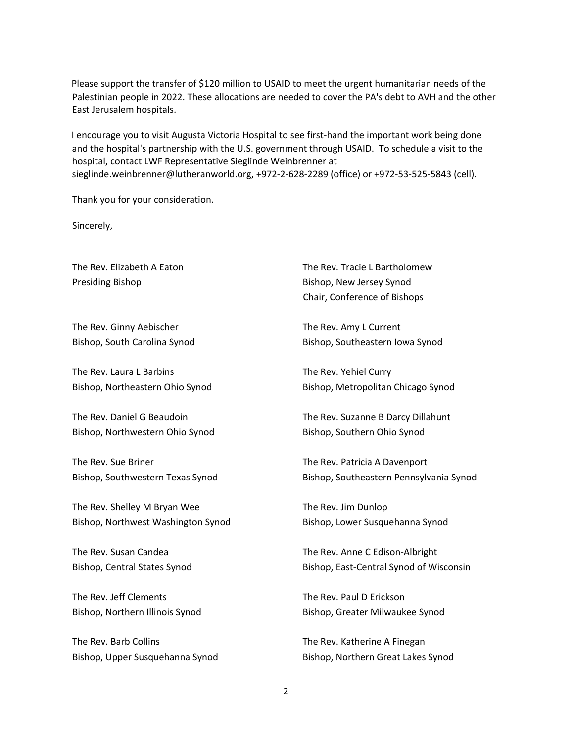Please support the transfer of \$120 million to USAID to meet the urgent humanitarian needs of the Palestinian people in 2022. These allocations are needed to cover the PA's debt to AVH and the other East Jerusalem hospitals.

I encourage you to visit Augusta Victoria Hospital to see first-hand the important work being done and the hospital's partnership with the U.S. government through USAID. To schedule a visit to the hospital, contact LWF Representative Sieglinde Weinbrenner at sieglinde.weinbrenner@lutheranworld.org, +972-2-628-2289 (office) or +972-53-525-5843 (cell).

Thank you for your consideration.

Sincerely,

Presiding Bishop Bishop Bishop, New Jersey Synod

The Rev. Ginny Aebischer Bishop, South Carolina Synod

The Rev. Laura L Barbins Bishop, Northeastern Ohio Synod

The Rev. Daniel G Beaudoin Bishop, Northwestern Ohio Synod

The Rev. Sue Briner Bishop, Southwestern Texas Synod

The Rev. Shelley M Bryan Wee Bishop, Northwest Washington Synod

The Rev. Susan Candea Bishop, Central States Synod

The Rev. Jeff Clements Bishop, Northern Illinois Synod

The Rev. Barb Collins Bishop, Upper Susquehanna Synod

The Rev. Elizabeth A Eaton The Rev. Tracie L Bartholomew Chair, Conference of Bishops

> The Rev. Amy L Current Bishop, Southeastern Iowa Synod

The Rev. Yehiel Curry Bishop, Metropolitan Chicago Synod

The Rev. Suzanne B Darcy Dillahunt Bishop, Southern Ohio Synod

The Rev. Patricia A Davenport Bishop, Southeastern Pennsylvania Synod

The Rev. Jim Dunlop Bishop, Lower Susquehanna Synod

The Rev. Anne C Edison-Albright Bishop, East-Central Synod of Wisconsin

The Rev. Paul D Erickson Bishop, Greater Milwaukee Synod

The Rev. Katherine A Finegan Bishop, Northern Great Lakes Synod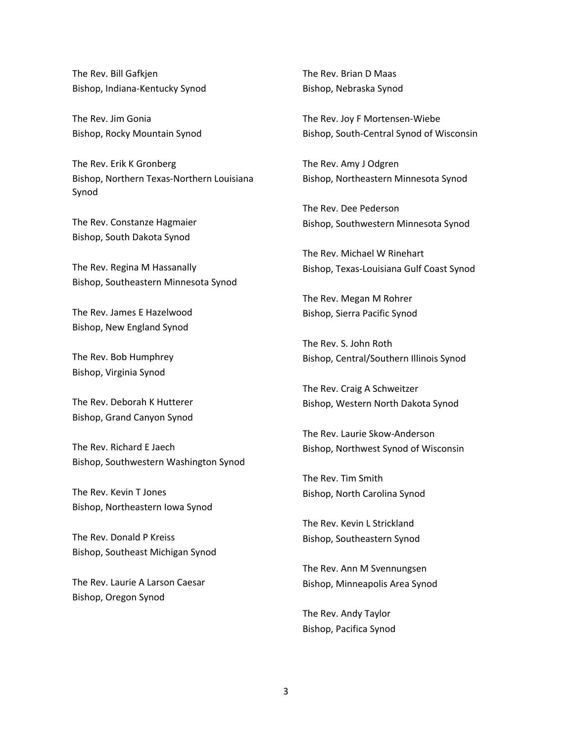The Rev. Bill Gafkjen Bishop, Indiana-Kentucky Synod

The Rev. Jim Gonia Bishop, Rocky Mountain Synod

The Rev. Erik K Gronberg Bishop, Northern Texas-Northern Louisiana Synod

The Rev. Constanze Hagmaier Bishop, South Dakota Synod

The Rev. Regina M Hassanally Bishop, Southeastern Minnesota Synod

The Rev. James E Hazelwood Bishop, New England Synod

The Rev. Bob Humphrey Bishop, Virginia Synod

The Rev. Deborah K Hutterer Bishop, Grand Canyon Synod

The Rev. Richard E Jaech Bishop, Southwestern Washington Synod

The Rev. Kevin T Jones Bishop, Northeastern Iowa Synod

The Rev. Donald P Kreiss Bishop, Southeast Michigan Synod

The Rev. Laurie A Larson Caesar Bishop, Oregon Synod

The Rev. Brian D Maas Bishop, Nebraska Synod

The Rev. Joy F Mortensen-Wiebe Bishop, South-Central Synod of Wisconsin

The Rev. Amy J Odgren Bishop, Northeastern Minnesota Synod

The Rev. Dee Pederson Bishop, Southwestern Minnesota Synod

The Rev. Michael W Rinehart Bishop, Texas-Louisiana Gulf Coast Synod

The Rev. Megan M Rohrer Bishop, Sierra Pacific Synod

The Rev. S. John Roth Bishop, Central/Southern Illinois Synod

The Rev. Craig A Schweitzer Bishop, Western North Dakota Synod

The Rev. Laurie Skow-Anderson Bishop, Northwest Synod of Wisconsin

The Rev. Tim Smith Bishop, North Carolina Synod

The Rev. Kevin L Strickland Bishop, Southeastern Synod

The Rev. Ann M Svennungsen Bishop, Minneapolis Area Synod

The Rev. Andy Taylor Bishop, Pacifica Synod